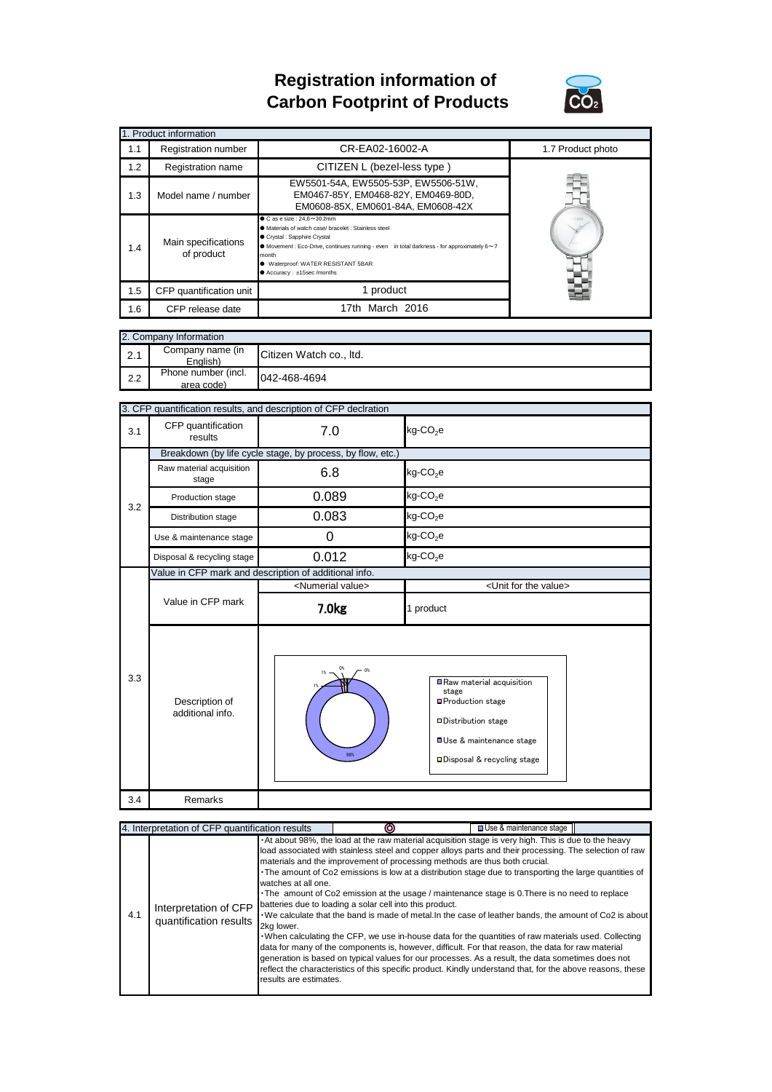## **Registration information of Carbon Footprint of Products**



| 1. Product information |                                                                                                                                                                                                                                                                                                                                                                 |                                                                                                                  |                   |  |  |
|------------------------|-----------------------------------------------------------------------------------------------------------------------------------------------------------------------------------------------------------------------------------------------------------------------------------------------------------------------------------------------------------------|------------------------------------------------------------------------------------------------------------------|-------------------|--|--|
| 1.1                    | Registration number                                                                                                                                                                                                                                                                                                                                             | CR-EA02-16002-A                                                                                                  | 1.7 Product photo |  |  |
| 1.2                    | Registration name                                                                                                                                                                                                                                                                                                                                               | CITIZEN L (bezel-less type)                                                                                      |                   |  |  |
| 1.3                    | Model name / number                                                                                                                                                                                                                                                                                                                                             | EW5501-54A, EW5505-53P, EW5506-51W,<br>EM0467-85Y, EM0468-82Y, EM0469-80D,<br>EM0608-85X, EM0601-84A, EM0608-42X |                   |  |  |
| 1.4                    | $\bullet$ C as e size: 24.6 $\sim$ 30.2mm<br>● Materials of watch case/ bracelet : Stainless steel<br>Crystal : Sapphire Crystal<br>Main specifications<br>$\bullet$ Movement : Eco-Drive, continues running - even in total darkness - for approximately 6 $\sim$ 7<br>of product<br>month<br>● Waterproof: WATER RESISTANT 5BAR<br>● Accuracy: ±15sec /months |                                                                                                                  |                   |  |  |
| 1.5                    | CFP quantification unit                                                                                                                                                                                                                                                                                                                                         | 1 product                                                                                                        |                   |  |  |
| 1.6                    | CFP release date                                                                                                                                                                                                                                                                                                                                                | 17th March 2016                                                                                                  |                   |  |  |

|  | 2. Company Information |
|--|------------------------|
|  |                        |

| <b>IZ. Company Information</b> |                                   |                         |  |
|--------------------------------|-----------------------------------|-------------------------|--|
| 2.1                            | Company name (in<br>English)      | Citizen Watch co., Itd. |  |
| 2.2                            | Phone number (incl.<br>area code) | 042-468-4694            |  |

|     | 3. CFP quantification results, and description of CFP declration |                                |                                                                                                                                                                    |  |  |  |
|-----|------------------------------------------------------------------|--------------------------------|--------------------------------------------------------------------------------------------------------------------------------------------------------------------|--|--|--|
| 3.1 | CFP quantification<br>results                                    | 7.0                            | $kg$ -CO <sub>2</sub> e                                                                                                                                            |  |  |  |
|     | Breakdown (by life cycle stage, by process, by flow, etc.)       |                                |                                                                                                                                                                    |  |  |  |
|     | Raw material acquisition<br>stage                                | 6.8                            | $kg$ -CO <sub>2</sub> e                                                                                                                                            |  |  |  |
| 3.2 | Production stage                                                 | 0.089                          | $kg$ -CO <sub>2</sub> e                                                                                                                                            |  |  |  |
|     | Distribution stage                                               | 0.083                          | $kg$ -CO <sub>2</sub> e                                                                                                                                            |  |  |  |
|     | Use & maintenance stage                                          | 0                              | $kg$ -CO <sub>2</sub> e                                                                                                                                            |  |  |  |
|     | Disposal & recycling stage                                       | 0.012                          | $kg$ -CO <sub>2</sub> e                                                                                                                                            |  |  |  |
|     | Value in CFP mark and description of additional info.            |                                |                                                                                                                                                                    |  |  |  |
|     |                                                                  | <numerial value=""></numerial> | <unit for="" the="" value=""></unit>                                                                                                                               |  |  |  |
|     | Value in CFP mark                                                | 7.0 <sub>kg</sub>              | 1 product                                                                                                                                                          |  |  |  |
| 3.3 | Description of<br>additional info.                               | 0%<br>98%                      | Raw material acquisition<br>stage<br><b>□Production stage</b><br><b>ODistribution stage</b><br><b>OUse &amp; maintenance stage</b><br>□ Disposal & recycling stage |  |  |  |
| 3.4 | Remarks                                                          |                                |                                                                                                                                                                    |  |  |  |
|     |                                                                  |                                |                                                                                                                                                                    |  |  |  |

| 4. Interpretation of CFP quantification results |                                                 |                                                             | □ Use & maintenance stage                                                                                                                                                                                                                                                                                                                                                                                                                                                                                                                                                                                                                                                                                                                                                                                                                                                                                                                                                                                                                                                                                      |  |  |
|-------------------------------------------------|-------------------------------------------------|-------------------------------------------------------------|----------------------------------------------------------------------------------------------------------------------------------------------------------------------------------------------------------------------------------------------------------------------------------------------------------------------------------------------------------------------------------------------------------------------------------------------------------------------------------------------------------------------------------------------------------------------------------------------------------------------------------------------------------------------------------------------------------------------------------------------------------------------------------------------------------------------------------------------------------------------------------------------------------------------------------------------------------------------------------------------------------------------------------------------------------------------------------------------------------------|--|--|
| 4.1                                             | Interpretation of CFP<br>quantification results | watches at all one.<br>2kg lower.<br>results are estimates. | At about 98%, the load at the raw material acquisition stage is very high. This is due to the heavy<br>load associated with stainless steel and copper alloys parts and their processing. The selection of raw<br>materials and the improvement of processing methods are thus both crucial.<br>The amount of Co2 emissions is low at a distribution stage due to transporting the large quantities of<br>The amount of Co2 emission at the usage / maintenance stage is 0. There is no need to replace<br>batteries due to loading a solar cell into this product.<br>We calculate that the band is made of metal. In the case of leather bands, the amount of Co2 is about<br>. When calculating the CFP, we use in-house data for the quantities of raw materials used. Collecting<br>data for many of the components is, however, difficult. For that reason, the data for raw material<br>generation is based on typical values for our processes. As a result, the data sometimes does not<br>reflect the characteristics of this specific product. Kindly understand that, for the above reasons, these |  |  |